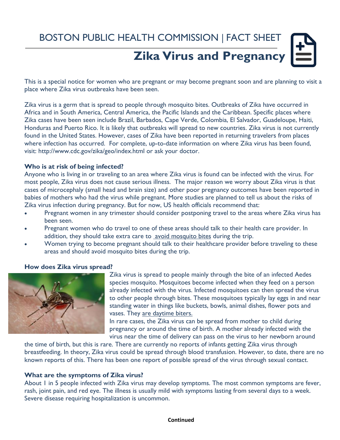# BOSTON PUBLIC HEALTH COMMISSION | FACT SHEET

# **Zika Virus and Pregnancy**

This is a special notice for women who are pregnant or may become pregnant soon and are planning to visit a place where Zika virus outbreaks have been seen.

Zika virus is a germ that is spread to people through mosquito bites. Outbreaks of Zika have occurred in Africa and in South America, Central America, the Pacific Islands and the Caribbean. Specific places where Zika cases have been seen include Brazil, Barbados, Cape Verde, Colombia, El Salvador, Guadeloupe, Haiti, Honduras and Puerto Rico. It is likely that outbreaks will spread to new countries. Zika virus is not currently found in the United States. However, cases of Zika have been reported in returning travelers from places where infection has occurred. For complete, up-to-date information on where Zika virus has been found, visit:<http://www.cdc.gov/zika/geo/index.html>or ask your doctor.

#### **Who is at risk of being infected?**

Anyone who is living in or traveling to an area where Zika virus is found can be infected with the virus. For most people, Zika virus does not cause serious illness. The major reason we worry about Zika virus is that cases of microcephaly (small head and brain size) and other poor pregnancy outcomes have been reported in babies of mothers who had the virus while pregnant. More studies are planned to tell us about the risks of Zika virus infection during pregnancy. But for now, US health officials recommend that:

- Pregnant women in any trimester should consider postponing travel to the areas where Zika virus has been seen.
- Pregnant women who do travel to one of these areas should talk to their health care provider. In addition, they should take extra care to [avoid mosquito bites](http://wwwnc.cdc.gov/travel/page/avoid-bug-bites) during the trip.
- Women trying to become pregnant should talk to their healthcare provider before traveling to these areas and should avoid mosquito bites during the trip.

#### **How does Zika virus spread?**



Zika virus is spread to people mainly through the bite of an infected Aedes species mosquito. Mosquitoes become infected when they feed on a person already infected with the virus. Infected mosquitoes can then spread the virus to other people through bites. These mosquitoes typically lay eggs in and near standing water in things like buckets, bowls, animal dishes, flower pots and vases. They are daytime biters.

In rare cases, the Zika virus can be spread from mother to child during pregnancy or around the time of birth. A mother already infected with the virus near the time of delivery can pass on the virus to her newborn around

the time of birth, but this is rare. There are currently no reports of infants getting Zika virus through breastfeeding. In theory, Zika virus could be spread through blood transfusion. However, to date, there are no known reports of this. There has been one report of possible spread of the virus through sexual contact.

#### **What are the symptoms of Zika virus?**

About 1 in 5 people infected with Zika virus may develop symptoms. The most common symptoms are fever, rash, joint pain, and red eye. The illness is usually mild with symptoms lasting from several days to a week. Severe disease requiring hospitalization is uncommon.